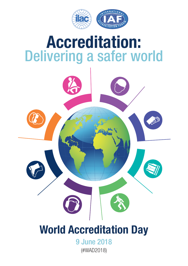

# **Accreditation:** Delivering a safer world



9 June 2018 (#WAD2018)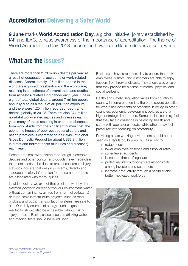# **Accreditation: Delivering a Safer World**

**9 June** marks **World Accreditation Day**, a global initiative, jointly established by IAF and ILAC, to raise awareness of the importance of accreditation. The theme of World Accreditation Day 2018 focuses on how accreditation delivers a safer world.

### **What are the issues?**

There are more than 2.78 million deaths per year as a result of occupational accidents or work-related diseases. Approximately 125 million people in the world are exposed to asbestos – in the workplace, resulting in an estimate of several thousand deaths from asbestos-related lung cancer each year. One in eight of total global deaths, around 7 million people annually died as a result of air pollution exposure, and there were 1.25 million recorded road traffic deaths globally in 2013<sup>1</sup>. There are also 374 million non-fatal work-related injuries and illnesses each year, many of these resulting in extended absences from work. Aside from the significant human cost, the economic impact of poor occupational safety and health practices is estimated to be 3.94% of global Gross Domestic Product (or about US\$2.8 trillion, in direct and indirect costs of injuries and diseases) each year<sup>2</sup>.

Recent problems with tainted food, drugs, electronic devices and other consumer products have made clear that more needs to be done to protect consumers. Injury statistics indicate that design problems, defects and inadequate safety information for consumer products are associated with many injuries.

In wider society, we expect that products we buy, from electrical goods to children's toys, our environment (water without contaminants, air free from harmful pollutants) or large-scale infrastructure projects (such as road, bridges, and public transportation systems) are safe to use. Our daily sources of energy, such as gas or electricity, should also be accessible without risk of injury or harm. Basic services such as drinking water and medical tests should be relied upon.

Businesses have a responsibility to ensure that their employees, visitors, and customers are able to enjoy freedom from injury or disease. They should also ensure that they provide for a sense of mental, physical and social wellbeing.

Health and Safety Regulation varies from country to country. In some economies, there are severe penalties for workplace accidents or breaches in policy. In other countries, economic development policies are of a higher strategic importance. Some businesses may feel that they face a challenge in balancing health and safety with operational needs, while others may feel pressured into focusing on profitability.

Providing a safe working environment should not be seen as a regulatory burden, but as a way to:

- $\bullet$  reduce costs
- **.** lower employee absence and turnover rates
- **In suffer fewer accidents**
- $\bullet$  lessen the threat of legal action
- **•** protect reputation for corporate responsibility among investors and customers
- $\bullet$  increase productivity through a healthier and better motivated workforce



1 Source: World Health Organisation 2 Source: International Labour Organization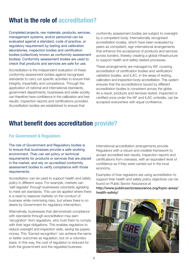# **What is the role of accreditation?**

Completed projects, raw materials, products, services, management systems, and/or personnel can be evaluated against a standard, code of practice, or regulatory requirement by testing and calibration laboratories, inspection bodies and certification bodies (collectively known as conformity assessment bodies). Conformity assessment bodies are used to check that products and services are safe for use.

Accreditation is the independent evaluation of these conformity assessment bodies against recognised standards to carry out specific activities to ensure their integrity, impartiality and competence. Through the application of national and international standards, government departments, businesses and wider society can therefore have confidence in the calibration and test results, inspection reports and certifications provided. Accreditation bodies are established to ensure that

conformity assessment bodies are subject to oversight by a competent body. Internationally recognised accreditation bodies, which have been evaluated by peers as competent, sign international arrangements that enhance the acceptance of products and services across borders, thereby creating a global infrastructure to support health and safety related processes.

These arrangements are managed by IAF, covering accreditation of certification bodies and verification/ validation bodies, and ILAC, in the areas of testing, calibration and inspection body accreditation. This system ensures that the accreditations issued by different accreditation bodies is consistent across the globe. As a result, products and services tested, inspected or certified once under the IAF and ILAC umbrella, can be accepted everywhere with equal confidence.

## **What benefit does accreditation provide?**

### **For Government & Regulators**

The role of Government and Regulatory bodies is to ensure that businesses provide a safe working environment. They can set policy or technical requirements for products or services that are placed in the market, and rely on accredited conformity assessment bodies to verify compliance with those requirements.

Accreditation can be used to support health and safety policy in different ways. For example, markets can 'self-regulate' through businesses voluntarily agreeing to meet set standards. This can be applied where there is a need to reassure markets on the conduct of business while minimising risks, but where there is no desire by Government for regulatory intervention.

Alternatively, businesses that demonstrate compliance with standards through accreditation may earn 'recognition' from regulators, who trust them to comply with their legal obligations. This enables regulators to reduce oversight and inspection visits, saving tax payers money. This 'Earned recognition' can achieve the same or better outcomes as regulation, but on a voluntary basis. In this way, the cost of regulation is reduced for both the government and the regulated business.

International accreditation arrangements provide Regulators with a robust and credible framework to accept accredited test results, inspection reports and certifications from overseas, with an equivalent level of confidence as if they were carried out in the local economy.

Examples of how regulators are using accreditation to support their health and safety policy objectives can be found on Public Sector Assurance at [http://www.publicsectorassurance.org/topic-areas/](http://www.publicsectorassurance.org/topic-areas/ health-safety/)

health-safety/

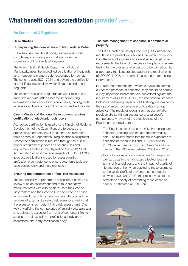# **What benefit does accreditation provide?** *continued*

#### **For Government & Regulators**

#### **Case Studies:**

#### Underpinning the competence of lifeguards in Dubai

Dubai has beaches, hotel pools, residential & sports complexes, and water parks that are under the supervision of thousands of lifeguards.

The Public Health & Safety Department of Dubai Municipality uses the accredited certification of lifeguards as a measure to create a safer experience for tourists. The scheme uses ISO 17024 and covers the certification of pool lifeguards, shallow water lifeguards and beach lifeguards.

The scheme assesses lifeguards for water rescue and basic first aid skills. After successfully completing examinations and certification requirements, the lifeguards receive a certificate and card from an accredited provider.

#### Czech Ministry of Regional Development requires certification of electronic tools users

Accredited certification is used by the Ministry of Regional Development of the Czech Republic to assess the professional competence of those that use electronic tools or carry out operations using electronic equipment. Accredited certification is required through the public tender procurement process as per the rules and requirements stated in the Regulation No. 9/2011 Coll. Accreditation against the requirements of ISO/IEC 17065 (product certification) is used for assessment of professional competence to ensure electronic tools are used competently and therefore, safely.

#### Ensuring the competence of Fire Risk Assessors

The responsibility to perform an assessment of fire risk, review such an assessment and to take fire safety measures, rests with duty holders. Both the Scottish Government and the Scottish Fire and Rescue Service recommend that duty holders who wish to contract the services of external fire safety risk assessors, verify that the assessor is competent in fire risk assessment. One way of verifying the competence of an individual assessor is to select the assessor from a list of competent fire risk assessors maintained by a professional body or an accredited third-party certification body.

#### The safe management of asbestos in commercial property

The UK's Health and Safety Executive (HSE) introduced regulations to protect workers and the wider community from the risks of exposure to asbestos. Amongst other requirements, the Control of Asbestos Regulations require testing for the presence of asbestos to be carried out by a laboratory that is accredited against the requirements of ISO/IEC 17025, the international standard for testing laboratories.

HSE also recommends that, where surveys are carried out for the presence of asbestos, they should be carried out by inspection bodies that are accredited against the requirement of ISO/IEC 17020, the international standard for bodies performing inspection. HSE strongly recommends the use of an accredited surveyor to safely manage asbestos. The regulator recognises that accreditation provides clients with an assurance of a surveyor's competence. A review of the effectiveness of the Regulations concluded that:

- The Regulation minimised the risks from exposure to asbestos, keeping workers and the community safe. The review stated that the fall in exposures to asbestos between 1980 and 2015 will lead to 25,700 fewer deaths from mesothelioma and lung cancer in the 100 years between 2001 and 2100.
- Costs to business and government/taxpayers, as well as costs to the individuals affected, both in terms of financial costs and the impact of quality of life and loss of life, when applied to those estimates to the yearly profile of prevented cancer deaths between 2001 and 2100, the present value of the benefits to society of preventing those cases of cancer is estimated at £20.9 bn.

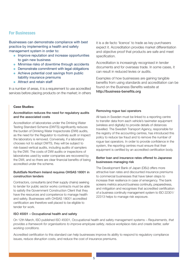### **For Businesses**

Businesses can demonstrate compliance with best practice by implementing a health and safety management system in order to:

- **Improve reputation and increase opportunities** to gain new business
- Minimise risks of downtime through accidents
- $\bullet$  Demonstrate commitment with legal obligations
- Achieve potential cost savings from public liability insurance premiums
- **Attract and retain staff**

In a number of areas, it is a requirement to use accredited services before placing products on the market; in others

#### **Case Studies:**

#### Accreditation reduces the need for regulatory audits and the associated costs

Accreditation of laboratories under the Drinking Water Testing Standard Scheme (DWTS) significantly reduces the burden of Drinking Water Inspectorate (DWI) audits, as the need for the Regulator to routinely audit or inspect the laboratory is removed. Conversely, if a laboratory chooses not to adopt DWTS, they will be subject to risk-based vertical audits, including audits of samplers by the DWI. The costs of DWI audits or inspections of laboratories used by water companies are recovered by the DWI, and so there are clear financial benefits of being accredited under the scheme.

#### BuildSafe Northern Ireland requires OHSAS 18001 in construction tenders

Contractors, consultants (and their supply chains) seeking to tender for public sector works contracts must be able to satisfy the Government Construction Client that they have the resources and competence to manage health and safety. Businesses with OHSAS 18001 accredited certification are therefore well placed to be eligible to tender for work.

#### ISO 45001 – Occupational health and safety

it is a de facto 'licence' to trade as key purchasers expect it. Accreditation provides market differentiation and objective proof that products are safe and meet specification.

Accreditation is increasingly recognised in tender documents and for overseas trade. In some cases, it can result in reduced levies or audits.

Examples of how businesses are gaining tangible benefits from using standards and accreditation can be found on the Business Benefits website at <http://business-benefits.org>

#### Removing rogue taxi operators

All taxis in Sweden must be linked to a reporting centre to transfer data from each vehicle's taximeter equipment (wireless and digitally) to provide details of distances travelled. The Swedish Transport Agency, responsible for the registry of the accounting centres, has introduced this policy to reduce tax fraud and to remove the number of rogue taxi operators. In order to provide confidence in the system, the reporting centres must ensure that their equipment is certified by an accredited certification body.

#### Better loan and insurance rates offered to Japanese businesses managing risk

The Development Bank of Japan (DBJ) offers more attractive loan rates and discounted insurance premiums to commercial businesses that have taken steps to increase their resilience in case of emergency. The bank screens metrics around business continuity, preparedness, and mitigation and recognises that accredited certification of a business continuity management system to ISO 22301/ 22313 helps to manage risk exposure.

On 12th March, ISO published ISO 45001, Occupational health and safety management systems – *Requirements, that* provides a framework for organisations to improve employee safety, reduce workplace risks and create better, safer *working conditions.*

Accredited certification to this standard can help businesses improve its ability to respond to regulatory compliance issues, reduce disruption costs, and reduce the cost of insurance premiums.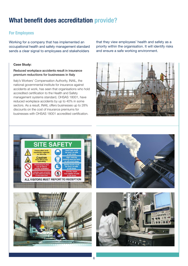# **What benefit does accreditation provide?**

### **For Employees**

Working for a company that has implemented an occupational health and safety management standard sends a clear signal to employees and stakeholders

#### **Case Study:**

Reduced workplace accidents result in insurance premium reductions for businesses in Italy

Italy's Workers' Compensation Authority, INAIL, the national governmental institute for insurance against accidents at work, has seen that organisations who hold accredited certification to the Health and Safety management systems standard, OHSAS 18001, have reduced workplace accidents by up to 40% in some sectors. As a result, INAIL offers businesses up to 28% discounts on the cost of insurance premiums for businesses with OHSAS 18001 accredited certification.

that they view employees' health and safety as a priority within the organisation. It will identify risks and ensure a safe working environment.









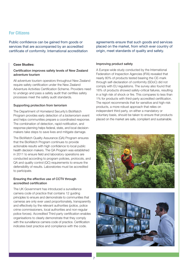### **For Citizens**

Public confidence can be gained from goods or services that are accompanied by an accredited certificate of conformity. International accreditation

#### **Case Studies:**

#### Certification improves safety levels of New Zealand adventure tourism

All adventure tourism operators throughout New Zealand require safety certification under the New Zealand Adventure Activities Certification Scheme. Providers need to undergo and pass a safety audit that certifies safety processes meet the safety audit standards.

#### Supporting protection from terrorism

The Department of Homeland Security's BioWatch Program provides early detection of a bioterrorism event and helps communities prepare a coordinated response. The combination of detection, rapid notification, and response planning helps federal, state, and local decisionmakers take steps to save lives and mitigate damage.

The BioWatch Quality Assurance (QA) Program ensures that the BioWatch Program continues to provide actionable results with high confidence to local public health decision makers. The QA Program was established in 2011 to ensure field and laboratory operations are conducted according to program policies, protocols, and QA and quality control (QC) requirements to ensure the defensibility of results. Laboratories must be accredited to participate.

#### Ensuring the effective use of CCTV through accredited certification

The UK Government has introduced a surveillance camera code of practice that contains 12 guiding principles to ensure and demonstrate to communities that cameras are only ever used proportionately, transparently and effectively by the relevant authorities (police, police crime commissioners, local authorities and non-regular police forces). Accredited Third party certification enables organisations to clearly demonstrate that they comply with the surveillance camera code of practice. Certification indicates best practice and compliance with the code.

agreements ensure that such goods and services placed on the market, from which ever country of origin, meet standards of quality and safety.

#### Improving product safety

A Europe-wide study conducted by the International Federation of Inspection Agencies (IFIA) revealed that nearly 80% of products tested bearing the CE-mark through self-declaration of conformity (SDoC) did not comply with EU regulations. The survey also found that 16% of products showed safety-critical failures, resulting in a high risk of shock or fire. This compares to less than 1% for products with third-party accredited certification. The report recommends that for sensitive and high-risk products, a more robust approach that relies on independent third party, on either a mandatory or voluntary basis, should be taken to ensure that products placed on the market are safe, compliant and sustainable.